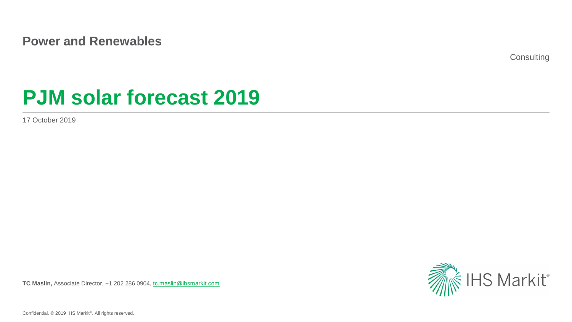**Consulting** 

# **PJM solar forecast 2019**

17 October 2019

**TC Maslin,** Associate Director, +1 202 286 0904, [tc.maslin@ihsmarkit.com](mailto:tc.maslin@ihsmarkit.com)



Confidential. © 2019 IHS Markit®. All rights reserved.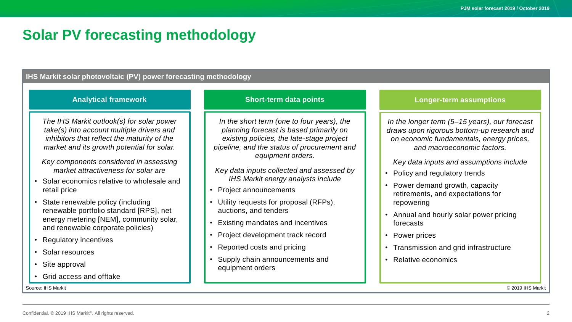### **Solar PV forecasting methodology**

#### **IHS Markit solar photovoltaic (PV) power forecasting methodology**

#### **Analytical framework**

*The IHS Markit outlook(s) for solar power take(s) into account multiple drivers and inhibitors that reflect the maturity of the market and its growth potential for solar.*

- *Key components considered in assessing market attractiveness for solar are*
- Solar economics relative to wholesale and retail price
- State renewable policy (including renewable portfolio standard [RPS], net energy metering [NEM], community solar, and renewable corporate policies)

• Regulatory incentives

- Solar resources
- Site approval
- Grid access and offtake

#### **Short-term data points**

*In the short term (one to four years), the planning forecast is based primarily on existing policies, the late-stage project pipeline, and the status of procurement and equipment orders.*

*Key data inputs collected and assessed by IHS Markit energy analysts include*

- Project announcements
- Utility requests for proposal (RFPs), auctions, and tenders
- Existing mandates and incentives
- Project development track record
- Reported costs and pricing
- Supply chain announcements and equipment orders

#### **Longer-term assumptions**

*In the longer term (5–15 years), our forecast draws upon rigorous bottom-up research and on economic fundamentals, energy prices, and macroeconomic factors.*

*Key data inputs and assumptions include*

- Policy and regulatory trends
- Power demand growth, capacity retirements, and expectations for repowering
- Annual and hourly solar power pricing forecasts
- Power prices
- Transmission and grid infrastructure
- Relative economics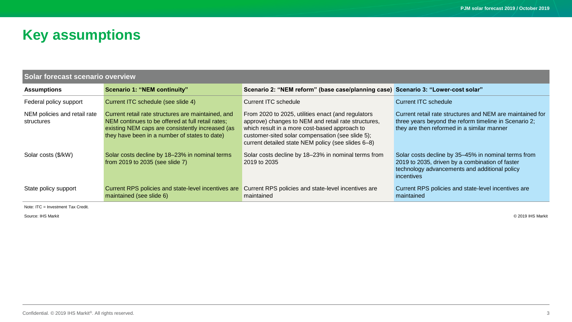# **Key assumptions**

| <b>Solar forecast scenario overview</b>    |                                                                                                                                                                                                              |                                                                                                                                                                                                                                                                      |                                                                                                                                                                       |  |  |
|--------------------------------------------|--------------------------------------------------------------------------------------------------------------------------------------------------------------------------------------------------------------|----------------------------------------------------------------------------------------------------------------------------------------------------------------------------------------------------------------------------------------------------------------------|-----------------------------------------------------------------------------------------------------------------------------------------------------------------------|--|--|
| <b>Assumptions</b>                         | <b>Scenario 1: "NEM continuity"</b>                                                                                                                                                                          | Scenario 2: "NEM reform" (base case/planning case) Scenario 3: "Lower-cost solar"                                                                                                                                                                                    |                                                                                                                                                                       |  |  |
| Federal policy support                     | Current ITC schedule (see slide 4)                                                                                                                                                                           | Current ITC schedule                                                                                                                                                                                                                                                 | Current ITC schedule                                                                                                                                                  |  |  |
| NEM policies and retail rate<br>structures | Current retail rate structures are maintained, and<br>NEM continues to be offered at full retail rates;<br>existing NEM caps are consistently increased (as<br>they have been in a number of states to date) | From 2020 to 2025, utilities enact (and regulators<br>approve) changes to NEM and retail rate structures,<br>which result in a more cost-based approach to<br>customer-sited solar compensation (see slide 5);<br>current detailed state NEM policy (see slides 6-8) | Current retail rate structures and NEM are maintained for<br>three years beyond the reform timeline in Scenario 2;<br>they are then reformed in a similar manner      |  |  |
| Solar costs (\$/kW)                        | Solar costs decline by 18-23% in nominal terms<br>from 2019 to 2035 (see slide 7)                                                                                                                            | Solar costs decline by 18-23% in nominal terms from<br>2019 to 2035                                                                                                                                                                                                  | Solar costs decline by 35-45% in nominal terms from<br>2019 to 2035, driven by a combination of faster<br>technology advancements and additional policy<br>incentives |  |  |
| State policy support                       | Current RPS policies and state-level incentives are<br>maintained (see slide 6)                                                                                                                              | Current RPS policies and state-level incentives are<br>maintained                                                                                                                                                                                                    | Current RPS policies and state-level incentives are<br>maintained                                                                                                     |  |  |

Note: ITC = Investment Tax Credit.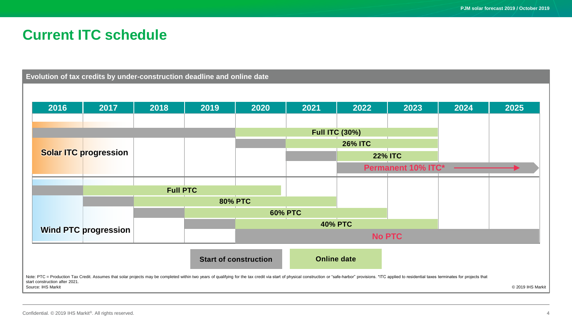### **Current ITC schedule**

**Evolution of tax credits by under-construction deadline and online date**

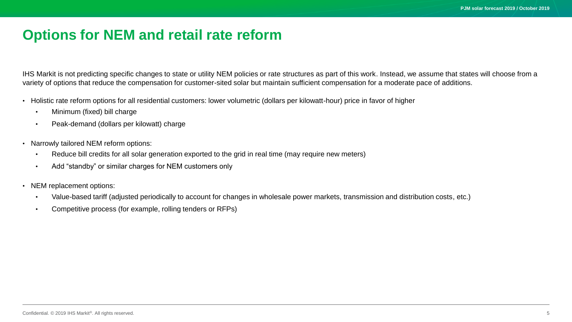### **Options for NEM and retail rate reform**

IHS Markit is not predicting specific changes to state or utility NEM policies or rate structures as part of this work. Instead, we assume that states will choose from a variety of options that reduce the compensation for customer-sited solar but maintain sufficient compensation for a moderate pace of additions.

- Holistic rate reform options for all residential customers: lower volumetric (dollars per kilowatt-hour) price in favor of higher
	- Minimum (fixed) bill charge
	- Peak-demand (dollars per kilowatt) charge
- Narrowly tailored NEM reform options:
	- Reduce bill credits for all solar generation exported to the grid in real time (may require new meters)
	- Add "standby" or similar charges for NEM customers only
- NEM replacement options:
	- Value-based tariff (adjusted periodically to account for changes in wholesale power markets, transmission and distribution costs, etc.)
	- Competitive process (for example, rolling tenders or RFPs)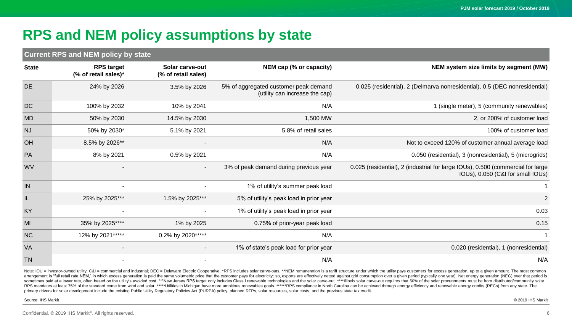# **RPS and NEM policy assumptions by state**

#### **Current RPS and NEM policy by state**

| <b>State</b> | <b>RPS target</b><br>(% of retail sales)* | Solar carve-out<br>(% of retail sales) | NEM cap (% or capacity)                                                 | NEM system size limits by segment (MW)                                                                               |
|--------------|-------------------------------------------|----------------------------------------|-------------------------------------------------------------------------|----------------------------------------------------------------------------------------------------------------------|
| <b>DE</b>    | 24% by 2026                               | 3.5% by 2026                           | 5% of aggregated customer peak demand<br>(utility can increase the cap) | 0.025 (residential), 2 (Delmarva nonresidential), 0.5 (DEC nonresidential)                                           |
| <b>DC</b>    | 100% by 2032                              | 10% by 2041                            | N/A                                                                     | 1 (single meter), 5 (community renewables)                                                                           |
| <b>MD</b>    | 50% by 2030                               | 14.5% by 2030                          | 1,500 MW                                                                | 2, or 200% of customer load                                                                                          |
| <b>NJ</b>    | 50% by 2030*                              | 5.1% by 2021                           | 5.8% of retail sales                                                    | 100% of customer load                                                                                                |
| OH           | 8.5% by 2026**                            |                                        | N/A                                                                     | Not to exceed 120% of customer annual average load                                                                   |
| PA           | 8% by 2021                                | 0.5% by 2021                           | N/A                                                                     | 0.050 (residential), 3 (nonresidential), 5 (microgrids)                                                              |
| <b>WV</b>    |                                           |                                        | 3% of peak demand during previous year                                  | 0.025 (residential), 2 (industrial for large IOUs), 0.500 (commercial for large<br>IOUs), 0.050 (C&I for small IOUs) |
| IN           | $\overline{\phantom{a}}$                  |                                        | 1% of utility's summer peak load                                        |                                                                                                                      |
| IL           | 25% by 2025***                            | 1.5% by 2025***                        | 5% of utility's peak load in prior year                                 | $\overline{2}$                                                                                                       |
| KY           |                                           |                                        | 1% of utility's peak load in prior year                                 | 0.03                                                                                                                 |
| MI           | 35% by 2025****                           | 1% by 2025                             | 0.75% of prior-year peak load                                           | 0.15                                                                                                                 |
| <b>NC</b>    | 12% by 2021 *****                         | 0.2% by 2020*****                      | N/A                                                                     | $\mathbf 1$                                                                                                          |
| VA           |                                           |                                        | 1% of state's peak load for prior year                                  | 0.020 (residential), 1 (nonresidential)                                                                              |
| <b>TN</b>    |                                           |                                        | N/A                                                                     | N/A                                                                                                                  |

Note: IOU = investor-owned utility; C&I = commercial and industrial; DEC = Delaware Electric Cooperative. \*RPS includes solar carve-outs. \*\*NEM remuneration is a tariff structure under which the utility pays customers for arrangement is "full retail rate NEM," in which excess generation is paid the same volumetric price that the customer pays for electricity; so, exports are effectively netted against grid consumption over a given period (t sometimes paid at a lower rate, often based on the utility's avoided cost. \*\*\*New Jersey RPS target only includes Class I renewable technologies and the solar carve-out. \*\*\*\*Illinois solar carve-out requires that 50% of th RPS mandates at least 75% of the standard come from wind and solar. \*\*\*\*\*Utilities in Michigan have more ambitious renewables goals. \*\*\*\*\*\*RPS compliance in North Carolina can be achieved through energy efficiency and rene primary drivers for solar development include the existing Public Utility Regulatory Policies Act (PURPA) policy, planned RFPs, solar resources, solar costs, and the previous state tax credit.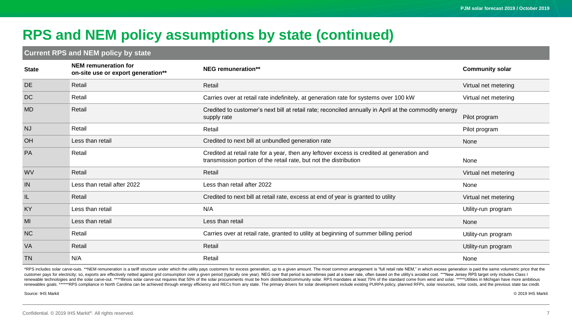# **RPS and NEM policy assumptions by state (continued)**

#### **Current RPS and NEM policy by state**

| <b>State</b> | NEM remuneration for<br>on-site use or export generation** | <b>NEG</b> remuneration**                                                                                                                                       | <b>Community solar</b> |
|--------------|------------------------------------------------------------|-----------------------------------------------------------------------------------------------------------------------------------------------------------------|------------------------|
| <b>DE</b>    | Retail                                                     | Retail                                                                                                                                                          | Virtual net metering   |
| <b>DC</b>    | Retail                                                     | Carries over at retail rate indefinitely, at generation rate for systems over 100 kW                                                                            | Virtual net metering   |
| <b>MD</b>    | Retail                                                     | Credited to customer's next bill at retail rate; reconciled annually in April at the commodity energy<br>supply rate                                            | Pilot program          |
| <b>NJ</b>    | Retail                                                     | Retail                                                                                                                                                          | Pilot program          |
| OH           | Less than retail                                           | Credited to next bill at unbundled generation rate                                                                                                              | None                   |
| PA           | Retail                                                     | Credited at retail rate for a year, then any leftover excess is credited at generation and<br>transmission portion of the retail rate, but not the distribution | None                   |
| <b>WV</b>    | Retail                                                     | Retail                                                                                                                                                          | Virtual net metering   |
| IN           | Less than retail after 2022                                | Less than retail after 2022                                                                                                                                     | None                   |
| IL           | Retail                                                     | Credited to next bill at retail rate, excess at end of year is granted to utility                                                                               | Virtual net metering   |
| KY           | Less than retail                                           | N/A                                                                                                                                                             | Utility-run program    |
| MI           | Less than retail                                           | Less than retail                                                                                                                                                | None                   |
| <b>NC</b>    | Retail                                                     | Carries over at retail rate, granted to utility at beginning of summer billing period                                                                           | Utility-run program    |
| <b>VA</b>    | Retail                                                     | Retail                                                                                                                                                          | Utility-run program    |
| <b>TN</b>    | N/A                                                        | Retail                                                                                                                                                          | None                   |

\*RPS includes solar carve-outs. \*\*NEM remuneration is a tariff structure under which the utility pays customers for excess generation, up to a given amount. The most common arrangement is "full retail rate NEM," in which e customer pays for electricity; so, exports are effectively netted against grid consumption over a given period (typically one year). NEG over that period is sometimes paid at a lower rate, often based on the utility's avoi renewable technologies and the solar carve-out. \*\*\*\*Illinois solar carve-out requires that 50% of the solar procurements must be from distributed/community solar. RPS mandates at least 75% of the standard come from wind an renewables goals. \*\*\*\*\*\*RPS compliance in North Carolina can be achieved through energy efficiency and RECs from any state. The primary drivers for solar development include existing PURPA policy, planned RFPs, solar resou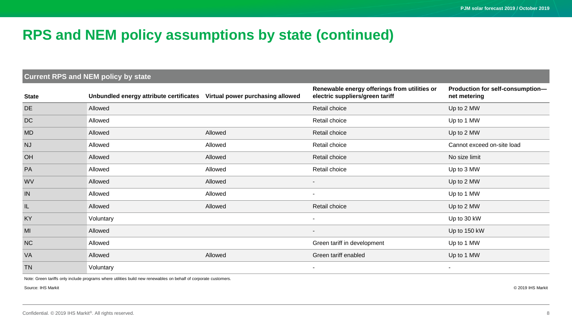### **RPS and NEM policy assumptions by state (continued)**

#### **Current RPS and NEM policy by state**

| <b>State</b> | Unbundled energy attribute certificates Virtual power purchasing allowed |         | Renewable energy offerings from utilities or<br>electric suppliers/green tariff | Production for self-consumption-<br>net metering |
|--------------|--------------------------------------------------------------------------|---------|---------------------------------------------------------------------------------|--------------------------------------------------|
| <b>DE</b>    | Allowed                                                                  |         | Retail choice                                                                   | Up to 2 MW                                       |
| <b>DC</b>    | Allowed                                                                  |         | Retail choice                                                                   | Up to 1 MW                                       |
| <b>MD</b>    | Allowed                                                                  | Allowed | Retail choice                                                                   | Up to 2 MW                                       |
| <b>NJ</b>    | Allowed                                                                  | Allowed | Retail choice                                                                   | Cannot exceed on-site load                       |
| OH           | Allowed                                                                  | Allowed | Retail choice                                                                   | No size limit                                    |
| PA           | Allowed                                                                  | Allowed | Retail choice                                                                   | Up to 3 MW                                       |
| <b>WV</b>    | Allowed                                                                  | Allowed | $\blacksquare$                                                                  | Up to 2 MW                                       |
| IN           | Allowed                                                                  | Allowed | $\sim$                                                                          | Up to 1 MW                                       |
| IL.          | Allowed                                                                  | Allowed | Retail choice                                                                   | Up to 2 MW                                       |
| KY           | Voluntary                                                                |         | $\overline{\phantom{a}}$                                                        | Up to 30 kW                                      |
| MI           | Allowed                                                                  |         | $\overline{\phantom{a}}$                                                        | Up to 150 kW                                     |
| <b>NC</b>    | Allowed                                                                  |         | Green tariff in development                                                     | Up to 1 MW                                       |
| <b>VA</b>    | Allowed                                                                  | Allowed | Green tariff enabled                                                            | Up to 1 MW                                       |
| <b>TN</b>    | Voluntary                                                                |         | $\overline{\phantom{a}}$                                                        | $\sim$                                           |

Note: Green tariffs only include programs where utilities build new renewables on behalf of corporate customers.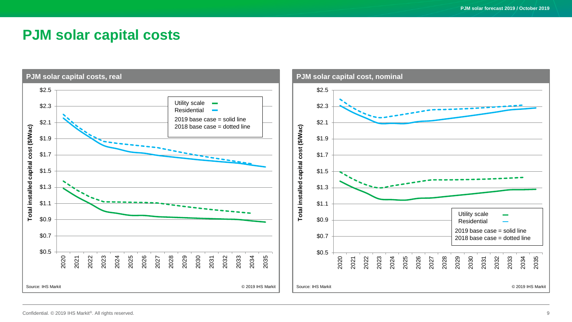### **PJM solar capital costs**

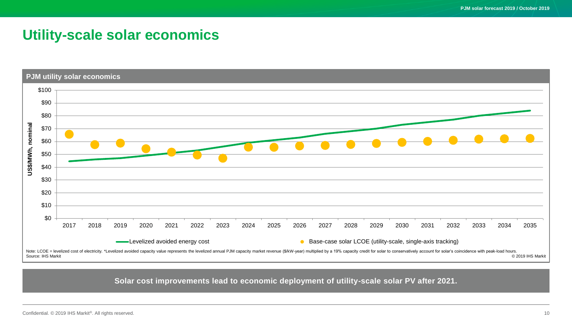### **Utility-scale solar economics**



#### **Solar cost improvements lead to economic deployment of utility-scale solar PV after 2021.**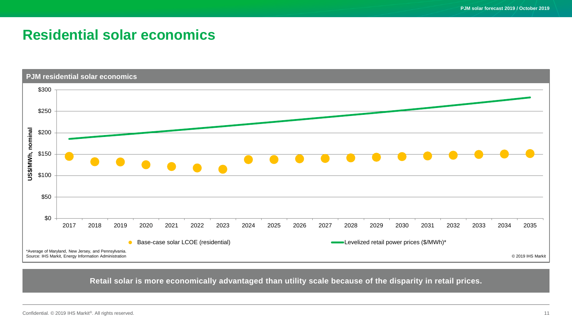### **Residential solar economics**



**Retail solar is more economically advantaged than utility scale because of the disparity in retail prices.**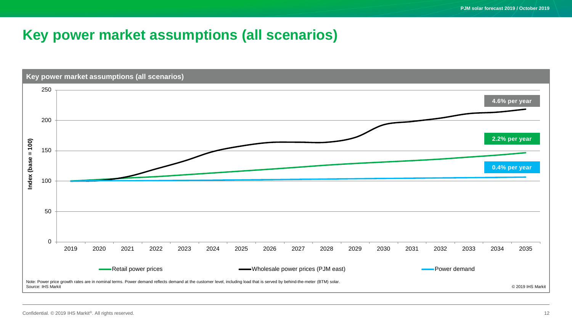# **Key power market assumptions (all scenarios)**

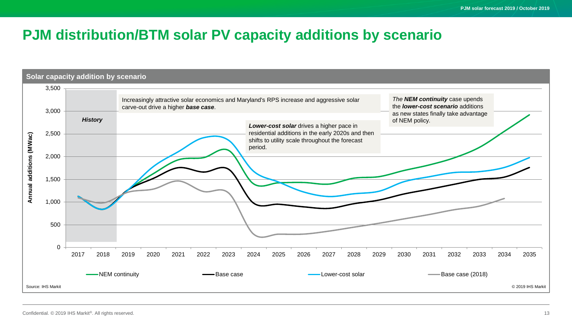### **PJM distribution/BTM solar PV capacity additions by scenario**

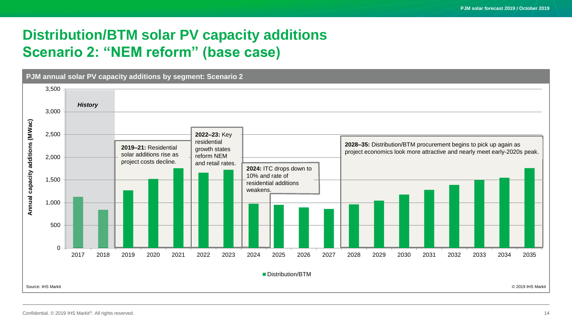# **Distribution/BTM solar PV capacity additions Scenario 2: "NEM reform" (base case)**

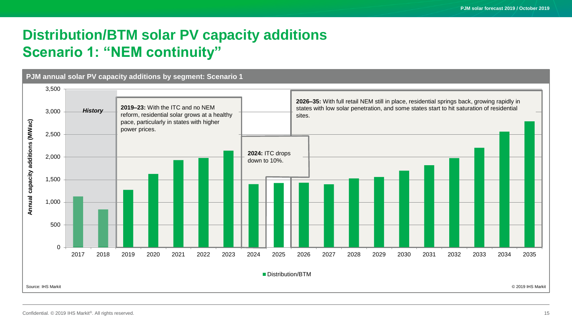# **Distribution/BTM solar PV capacity additions Scenario 1: "NEM continuity"**

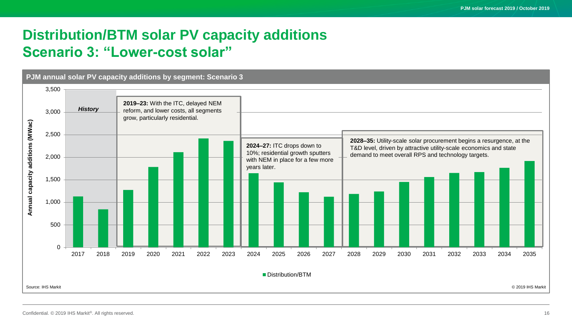# **Distribution/BTM solar PV capacity additions Scenario 3: "Lower-cost solar"**

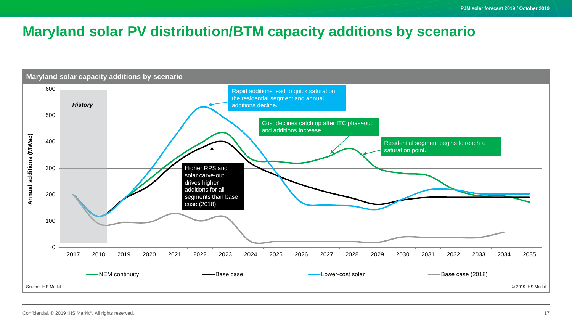# **Maryland solar PV distribution/BTM capacity additions by scenario**

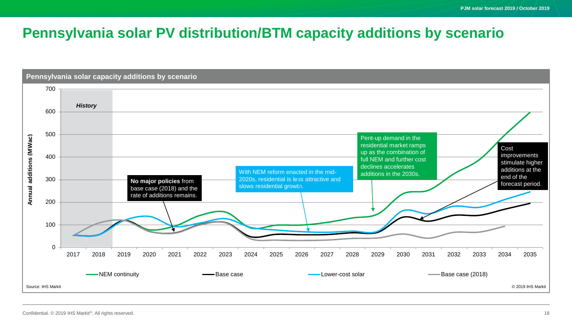# **Pennsylvania solar PV distribution/BTM capacity additions by scenario**

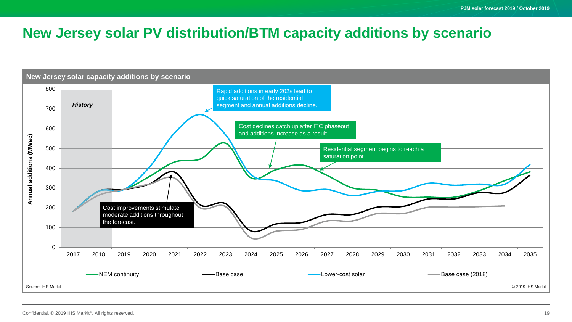### **New Jersey solar PV distribution/BTM capacity additions by scenario**

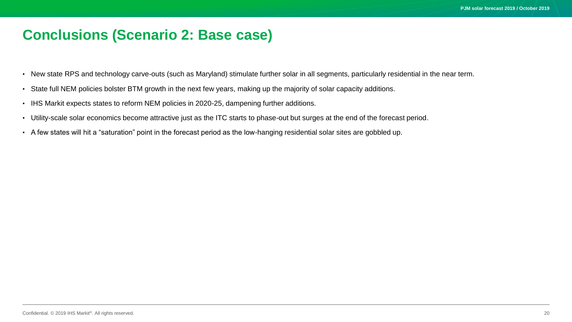### **Conclusions (Scenario 2: Base case)**

- New state RPS and technology carve-outs (such as Maryland) stimulate further solar in all segments, particularly residential in the near term.
- State full NEM policies bolster BTM growth in the next few years, making up the majority of solar capacity additions.
- IHS Markit expects states to reform NEM policies in 2020-25, dampening further additions.
- Utility-scale solar economics become attractive just as the ITC starts to phase-out but surges at the end of the forecast period.
- A few states will hit a "saturation" point in the forecast period as the low-hanging residential solar sites are gobbled up.